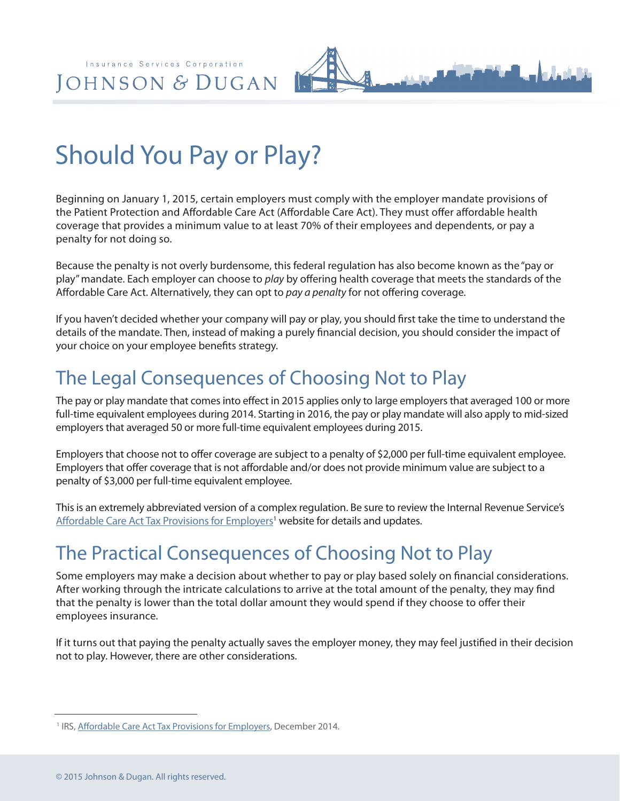Insurance Services Corporation **JOHNSON & DUGAN** 



Beginning on January 1, 2015, certain employers must comply with the employer mandate provisions of the Patient Protection and Affordable Care Act (Affordable Care Act). They must offer affordable health coverage that provides a minimum value to at least 70% of their employees and dependents, or pay a penalty for not doing so.

Because the penalty is not overly burdensome, this federal regulation has also become known as the "pay or play" mandate. Each employer can choose to *play* by offering health coverage that meets the standards of the Affordable Care Act. Alternatively, they can opt to *pay a penalty* for not offering coverage.

If you haven't decided whether your company will pay or play, you should first take the time to understand the details of the mandate. Then, instead of making a purely financial decision, you should consider the impact of your choice on your employee benefits strategy.

## The Legal Consequences of Choosing Not to Play

The pay or play mandate that comes into effect in 2015 applies only to large employers that averaged 100 or more full-time equivalent employees during 2014. Starting in 2016, the pay or play mandate will also apply to mid-sized employers that averaged 50 or more full-time equivalent employees during 2015.

Employers that choose not to offer coverage are subject to a penalty of \$2,000 per full-time equivalent employee. Employers that offer coverage that is not affordable and/or does not provide minimum value are subject to a penalty of \$3,000 per full-time equivalent employee.

This is an extremely abbreviated version of a complex regulation. Be sure to review the Internal Revenue Service's [Affordable Care Act Tax Provisions for Employers](http://www.irs.gov/Affordable-Care-Act/Employers)<sup>1</sup> website for details and updates.

## The Practical Consequences of Choosing Not to Play

Some employers may make a decision about whether to pay or play based solely on financial considerations. After working through the intricate calculations to arrive at the total amount of the penalty, they may find that the penalty is lower than the total dollar amount they would spend if they choose to offer their employees insurance.

If it turns out that paying the penalty actually saves the employer money, they may feel justified in their decision not to play. However, there are other considerations.

<sup>&</sup>lt;sup>1</sup> IRS, [Affordable Care Act Tax Provisions for Employers,](http://www.irs.gov/Affordable-Care-Act/Employers) December 2014.